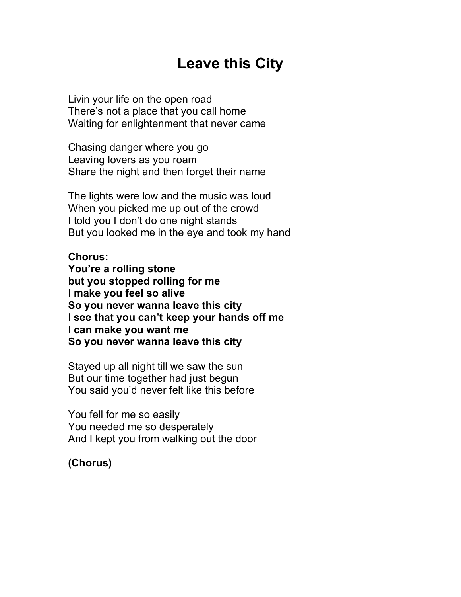## **Leave this City**

Livin your life on the open road There's not a place that you call home Waiting for enlightenment that never came

Chasing danger where you go Leaving lovers as you roam Share the night and then forget their name

The lights were low and the music was loud When you picked me up out of the crowd I told you I don't do one night stands But you looked me in the eye and took my hand

## **Chorus:**

**You're a rolling stone but you stopped rolling for me I make you feel so alive So you never wanna leave this city I see that you can't keep your hands off me I can make you want me So you never wanna leave this city**

Stayed up all night till we saw the sun But our time together had just begun You said you'd never felt like this before

You fell for me so easily You needed me so desperately And I kept you from walking out the door

**(Chorus)**